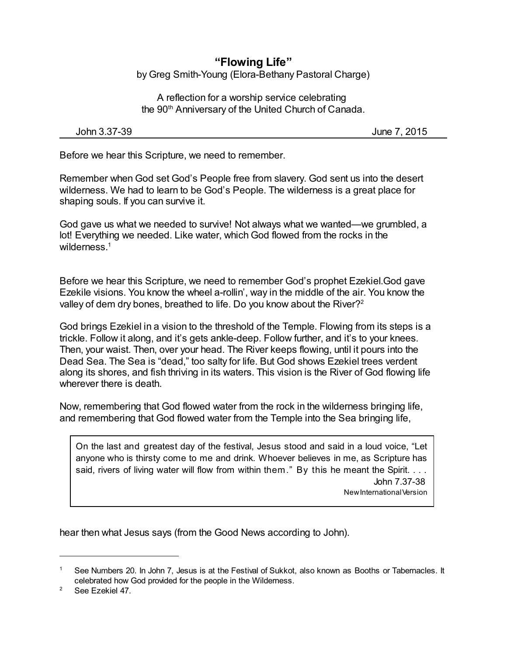## **"Flowing Life"** by Greg Smith-Young (Elora-Bethany Pastoral Charge)

A reflection for a worship service celebrating the 90th Anniversary of the United Church of Canada.

John 3.37-39 June 7, 2015

Before we hear this Scripture, we need to remember.

Remember when God set God's People free from slavery. God sent us into the desert wilderness. We had to learn to be God's People. The wilderness is a great place for shaping souls. If you can survive it.

God gave us what we needed to survive! Not always what we wanted—we grumbled, a lot! Everything we needed. Like water, which God flowed from the rocks in the wilderness.<sup>1</sup>

Before we hear this Scripture, we need to remember God's prophet Ezekiel.God gave Ezekile visions. You know the wheel a-rollin', way in the middle of the air. You know the valley of dem dry bones, breathed to life. Do you know about the River?<sup>2</sup>

God brings Ezekiel in a vision to the threshold of the Temple. Flowing from its steps is a trickle. Follow it along, and it's gets ankle-deep. Follow further, and it's to your knees. Then, your waist. Then, over your head. The River keeps flowing, until it pours into the Dead Sea. The Sea is "dead," too salty for life. But God shows Ezekiel trees verdent along its shores, and fish thriving in its waters. This vision is the River of God flowing life wherever there is death.

Now, remembering that God flowed water from the rock in the wilderness bringing life, and remembering that God flowed water from the Temple into the Sea bringing life,

On the last and greatest day of the festival, Jesus stood and said in a loud voice, "Let anyone who is thirsty come to me and drink. Whoever believes in me, as Scripture has said, rivers of living water will flow from within them." By this he meant the Spirit. . . . John 7.37-38 NewInternationalVersion

hear then what Jesus says (from the Good News according to John).

See Numbers 20. In John 7, Jesus is at the Festival of Sukkot, also known as Booths or Tabernacles. It celebrated how God provided for the people in the Wilderness.

<sup>&</sup>lt;sup>2</sup> See Ezekiel 47.